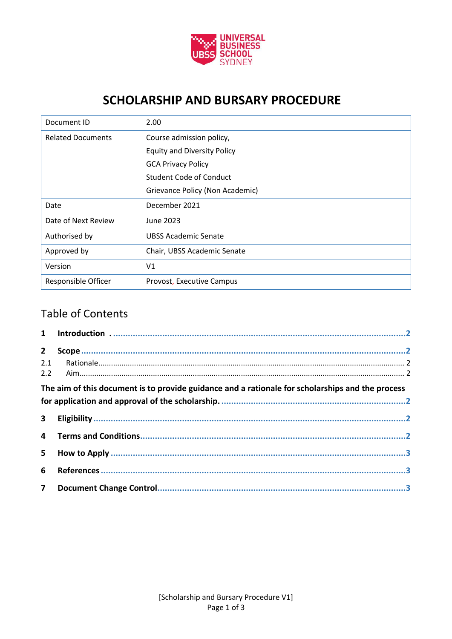

# **SCHOLARSHIP AND BURSARY PROCEDURE**

| Document ID                | 2.00                               |  |
|----------------------------|------------------------------------|--|
| <b>Related Documents</b>   | Course admission policy,           |  |
|                            | <b>Equity and Diversity Policy</b> |  |
|                            | <b>GCA Privacy Policy</b>          |  |
|                            | Student Code of Conduct            |  |
|                            | Grievance Policy (Non Academic)    |  |
| Date                       | December 2021                      |  |
| Date of Next Review        | June 2023                          |  |
| Authorised by              | <b>UBSS Academic Senate</b>        |  |
| Approved by                | Chair, UBSS Academic Senate        |  |
| Version                    | V <sub>1</sub>                     |  |
| <b>Responsible Officer</b> | Provost, Executive Campus          |  |

# Table of Contents

| $2^{\circ}$ |                                                                                                  |  |
|-------------|--------------------------------------------------------------------------------------------------|--|
| 2.1         |                                                                                                  |  |
|             |                                                                                                  |  |
|             | The aim of this document is to provide guidance and a rationale for scholarships and the process |  |
|             |                                                                                                  |  |
| $3^{\circ}$ |                                                                                                  |  |
|             |                                                                                                  |  |
|             |                                                                                                  |  |
| 6           |                                                                                                  |  |
|             |                                                                                                  |  |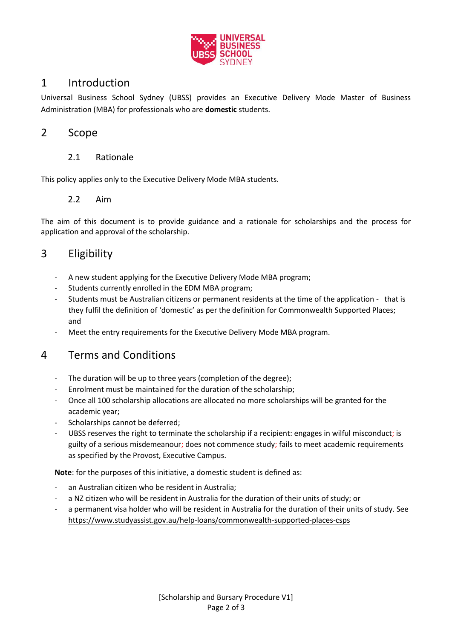

### 1 Introduction

Universal Business School Sydney (UBSS) provides an Executive Delivery Mode Master of Business Administration (MBA) for professionals who are **domestic** students.

#### 2 Scope

#### 2.1 Rationale

This policy applies only to the Executive Delivery Mode MBA students.

#### 2.2 Aim

The aim of this document is to provide guidance and a rationale for scholarships and the process for application and approval of the scholarship.

### 3 Eligibility

- A new student applying for the Executive Delivery Mode MBA program;
- Students currently enrolled in the EDM MBA program;
- Students must be Australian citizens or permanent residents at the time of the application that is they fulfil the definition of 'domestic' as per the definition for Commonwealth Supported Places; and
- Meet the entry requirements for the Executive Delivery Mode MBA program.

#### 4 Terms and Conditions

- The duration will be up to three years (completion of the degree);
- Enrolment must be maintained for the duration of the scholarship;
- Once all 100 scholarship allocations are allocated no more scholarships will be granted for the academic year;
- Scholarships cannot be deferred:
- UBSS reserves the right to terminate the scholarship if a recipient: engages in wilful misconduct; is guilty of a serious misdemeanour; does not commence study; fails to meet academic requirements as specified by the Provost, Executive Campus.

**Note**: for the purposes of this initiative, a domestic student is defined as:

- an Australian citizen who be resident in Australia;
- a NZ citizen who will be resident in Australia for the duration of their units of study; or
- a permanent visa holder who will be resident in Australia for the duration of their units of study. See <https://www.studyassist.gov.au/help-loans/commonwealth-supported-places-csps>